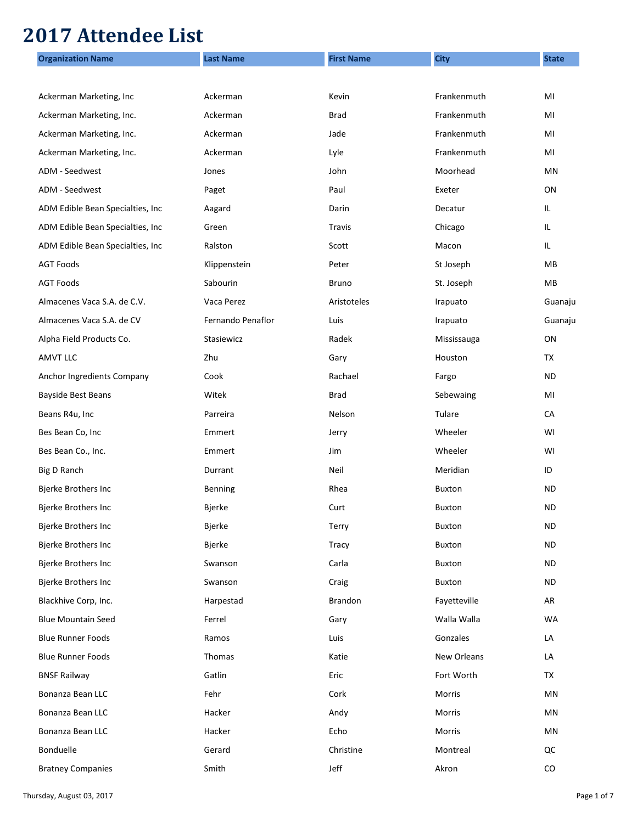## **2017 Attendee List**

| <b>Organization Name</b>          | <b>Last Name</b>  | <b>First Name</b> | <b>City</b>   | <b>State</b> |
|-----------------------------------|-------------------|-------------------|---------------|--------------|
|                                   |                   |                   |               |              |
| Ackerman Marketing, Inc           | Ackerman          | Kevin             | Frankenmuth   | MI           |
| Ackerman Marketing, Inc.          | Ackerman          | <b>Brad</b>       | Frankenmuth   | MI           |
| Ackerman Marketing, Inc.          | Ackerman          | Jade              | Frankenmuth   | MI           |
| Ackerman Marketing, Inc.          | Ackerman          | Lyle              | Frankenmuth   | MI           |
| ADM - Seedwest                    | Jones             | John              | Moorhead      | ΜN           |
| ADM - Seedwest                    | Paget             | Paul              | Exeter        | ON           |
| ADM Edible Bean Specialties, Inc  | Aagard            | Darin             | Decatur       | IL.          |
| ADM Edible Bean Specialties, Inc  | Green             | Travis            | Chicago       | IL.          |
| ADM Edible Bean Specialties, Inc. | Ralston           | Scott             | Macon         | IL.          |
| <b>AGT Foods</b>                  | Klippenstein      | Peter             | St Joseph     | MВ           |
| <b>AGT Foods</b>                  | Sabourin          | <b>Bruno</b>      | St. Joseph    | MВ           |
| Almacenes Vaca S.A. de C.V.       | Vaca Perez        | Aristoteles       | Irapuato      | Guanaju      |
| Almacenes Vaca S.A. de CV         | Fernando Penaflor | Luis              | Irapuato      | Guanaju      |
| Alpha Field Products Co.          | Stasiewicz        | Radek             | Mississauga   | ΟN           |
| <b>AMVT LLC</b>                   | Zhu               | Gary              | Houston       | TX           |
| Anchor Ingredients Company        | Cook              | Rachael           | Fargo         | ND           |
| Bayside Best Beans                | Witek             | Brad              | Sebewaing     | MI           |
| Beans R4u, Inc                    | Parreira          | Nelson            | Tulare        | CA           |
| Bes Bean Co, Inc                  | Emmert            | Jerry             | Wheeler       | WI           |
| Bes Bean Co., Inc.                | Emmert            | Jim               | Wheeler       | WI           |
| Big D Ranch                       | Durrant           | Neil              | Meridian      | ID           |
| <b>Bjerke Brothers Inc</b>        | Benning           | Rhea              | <b>Buxton</b> | ND           |
| <b>Bjerke Brothers Inc</b>        | <b>Bjerke</b>     | Curt              | <b>Buxton</b> | ND           |
| Bjerke Brothers Inc               | <b>Bjerke</b>     | Terry             | Buxton        | <b>ND</b>    |
| Bjerke Brothers Inc               | Bjerke            | <b>Tracy</b>      | Buxton        | ND           |
| Bjerke Brothers Inc               | Swanson           | Carla             | Buxton        | <b>ND</b>    |
| Bjerke Brothers Inc               | Swanson           | Craig             | Buxton        | <b>ND</b>    |
| Blackhive Corp, Inc.              | Harpestad         | Brandon           | Fayetteville  | AR           |
| <b>Blue Mountain Seed</b>         | Ferrel            | Gary              | Walla Walla   | WA           |
| <b>Blue Runner Foods</b>          | Ramos             | Luis              | Gonzales      | LA           |
| <b>Blue Runner Foods</b>          | Thomas            | Katie             | New Orleans   | LA           |
| <b>BNSF Railway</b>               | Gatlin            | Eric              | Fort Worth    | TX           |
| Bonanza Bean LLC                  | Fehr              | Cork              | Morris        | MN           |
| Bonanza Bean LLC                  | Hacker            | Andy              | Morris        | MN           |
| Bonanza Bean LLC                  | Hacker            | Echo              | Morris        | MN           |
| Bonduelle                         | Gerard            | Christine         | Montreal      | QC           |
| <b>Bratney Companies</b>          | Smith             | Jeff              | Akron         | ${\rm CO}$   |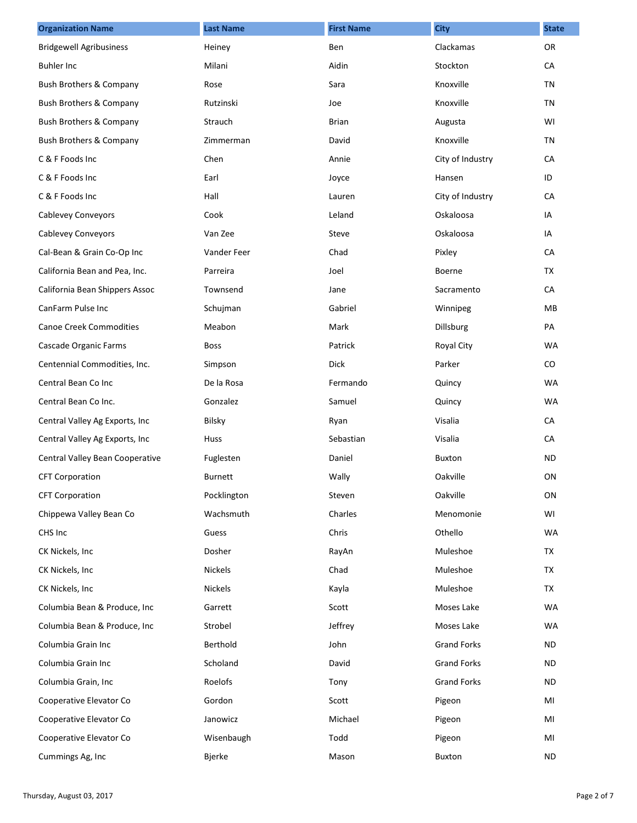| <b>Organization Name</b>           | <b>Last Name</b> | <b>First Name</b> | <b>City</b>        | <b>State</b> |
|------------------------------------|------------------|-------------------|--------------------|--------------|
| <b>Bridgewell Agribusiness</b>     | Heiney           | Ben               | Clackamas          | <b>OR</b>    |
| <b>Buhler Inc</b>                  | Milani           | Aidin             | Stockton           | CA           |
| Bush Brothers & Company            | Rose             | Sara              | Knoxville          | TN           |
| Bush Brothers & Company            | Rutzinski        | Joe               | Knoxville          | TN           |
| <b>Bush Brothers &amp; Company</b> | Strauch          | <b>Brian</b>      | Augusta            | WI           |
| Bush Brothers & Company            | Zimmerman        | David             | Knoxville          | TN           |
| C & F Foods Inc                    | Chen             | Annie             | City of Industry   | CA           |
| C & F Foods Inc                    | Earl             | Joyce             | Hansen             | ID           |
| C & F Foods Inc                    | Hall             | Lauren            | City of Industry   | CA           |
| <b>Cablevey Conveyors</b>          | Cook             | Leland            | Oskaloosa          | IA           |
| <b>Cablevey Conveyors</b>          | Van Zee          | Steve             | Oskaloosa          | IA           |
| Cal-Bean & Grain Co-Op Inc         | Vander Feer      | Chad              | Pixley             | CA           |
| California Bean and Pea, Inc.      | Parreira         | Joel              | Boerne             | TX           |
| California Bean Shippers Assoc     | Townsend         | Jane              | Sacramento         | CA           |
| CanFarm Pulse Inc                  | Schujman         | Gabriel           | Winnipeg           | <b>MB</b>    |
| <b>Canoe Creek Commodities</b>     | Meabon           | Mark              | Dillsburg          | PA           |
| Cascade Organic Farms              | <b>Boss</b>      | Patrick           | Royal City         | <b>WA</b>    |
| Centennial Commodities, Inc.       | Simpson          | Dick              | Parker             | $\rm CO$     |
| Central Bean Co Inc                | De la Rosa       | Fermando          | Quincy             | <b>WA</b>    |
| Central Bean Co Inc.               | Gonzalez         | Samuel            | Quincy             | <b>WA</b>    |
| Central Valley Ag Exports, Inc     | Bilsky           | Ryan              | Visalia            | CA           |
| Central Valley Ag Exports, Inc     | Huss             | Sebastian         | Visalia            | CA           |
| Central Valley Bean Cooperative    | Fuglesten        | Daniel            | <b>Buxton</b>      | ND.          |
| <b>CFT Corporation</b>             | <b>Burnett</b>   | Wally             | Oakville           | ON           |
| <b>CFT Corporation</b>             | Pocklington      | Steven            | Oakville           | ON           |
| Chippewa Valley Bean Co            | Wachsmuth        | Charles           | Menomonie          | WI           |
| CHS Inc                            | Guess            | Chris             | Othello            | <b>WA</b>    |
| CK Nickels, Inc                    | Dosher           | RayAn             | Muleshoe           | TX           |
| CK Nickels, Inc.                   | <b>Nickels</b>   | Chad              | Muleshoe           | TX           |
| CK Nickels, Inc.                   | <b>Nickels</b>   | Kayla             | Muleshoe           | TX           |
| Columbia Bean & Produce, Inc       | Garrett          | Scott             | Moses Lake         | <b>WA</b>    |
| Columbia Bean & Produce, Inc       | Strobel          | Jeffrey           | Moses Lake         | <b>WA</b>    |
| Columbia Grain Inc                 | Berthold         | John              | <b>Grand Forks</b> | ND.          |
| Columbia Grain Inc                 | Scholand         | David             | <b>Grand Forks</b> | ND.          |
| Columbia Grain, Inc                | Roelofs          | Tony              | <b>Grand Forks</b> | ND.          |
| Cooperative Elevator Co            | Gordon           | Scott             | Pigeon             | MI           |
| Cooperative Elevator Co            | Janowicz         | Michael           | Pigeon             | MI           |
| Cooperative Elevator Co            | Wisenbaugh       | Todd              | Pigeon             | MI           |
| Cummings Ag, Inc                   | Bjerke           | Mason             | <b>Buxton</b>      | ND.          |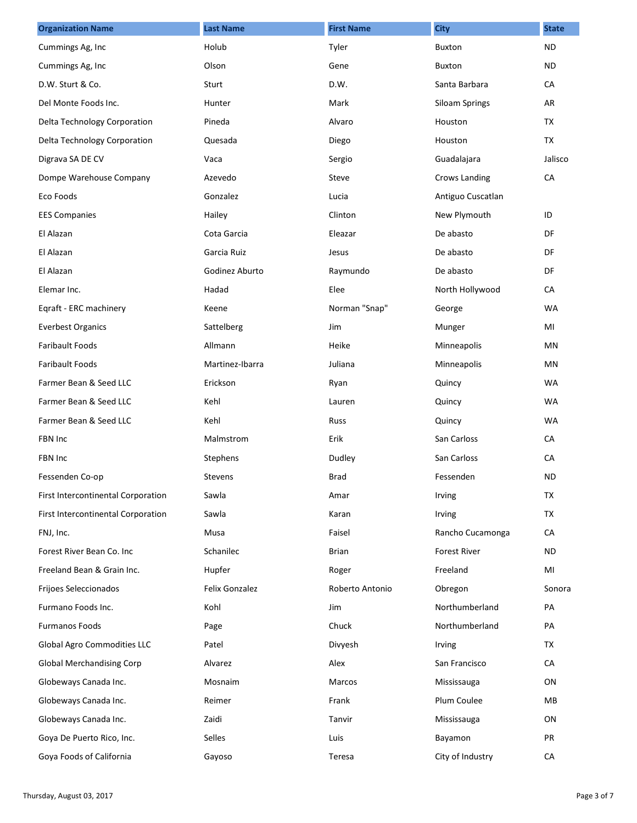| <b>Organization Name</b>           | <b>Last Name</b>      | <b>First Name</b> | <b>City</b>           | <b>State</b> |
|------------------------------------|-----------------------|-------------------|-----------------------|--------------|
| Cummings Ag, Inc                   | Holub                 | Tyler             | Buxton                | <b>ND</b>    |
| Cummings Ag, Inc.                  | Olson                 | Gene              | Buxton                | ND.          |
| D.W. Sturt & Co.                   | Sturt                 | D.W.              | Santa Barbara         | CA           |
| Del Monte Foods Inc.               | Hunter                | Mark              | <b>Siloam Springs</b> | AR           |
| Delta Technology Corporation       | Pineda                | Alvaro            | Houston               | TX           |
| Delta Technology Corporation       | Quesada               | Diego             | Houston               | TX           |
| Digrava SA DE CV                   | Vaca                  | Sergio            | Guadalajara           | Jalisco      |
| Dompe Warehouse Company            | Azevedo               | Steve             | Crows Landing         | CA           |
| Eco Foods                          | Gonzalez              | Lucia             | Antiguo Cuscatlan     |              |
| <b>EES Companies</b>               | Hailey                | Clinton           | New Plymouth          | ID           |
| El Alazan                          | Cota Garcia           | Eleazar           | De abasto             | <b>DF</b>    |
| El Alazan                          | Garcia Ruiz           | Jesus             | De abasto             | DF           |
| El Alazan                          | Godinez Aburto        | Raymundo          | De abasto             | DF           |
| Elemar Inc.                        | Hadad                 | Elee              | North Hollywood       | CA           |
| Eqraft - ERC machinery             | Keene                 | Norman "Snap"     | George                | <b>WA</b>    |
| <b>Everbest Organics</b>           | Sattelberg            | Jim               | Munger                | MI           |
| <b>Faribault Foods</b>             | Allmann               | Heike             | Minneapolis           | MN           |
| Faribault Foods                    | Martinez-Ibarra       | Juliana           | Minneapolis           | MN           |
| Farmer Bean & Seed LLC             | Erickson              | Ryan              | Quincy                | <b>WA</b>    |
| Farmer Bean & Seed LLC             | Kehl                  | Lauren            | Quincy                | <b>WA</b>    |
| Farmer Bean & Seed LLC             | Kehl                  | Russ              | Quincy                | <b>WA</b>    |
| FBN Inc                            | Malmstrom             | Erik              | San Carloss           | CA           |
| FBN Inc                            | Stephens              | Dudley            | San Carloss           | CA           |
| Fessenden Co-op                    | <b>Stevens</b>        | Brad              | Fessenden             | <b>ND</b>    |
| First Intercontinental Corporation | Sawla                 | Amar              | Irving                | TX           |
| First Intercontinental Corporation | Sawla                 | Karan             | Irving                | TX           |
| FNJ, Inc.                          | Musa                  | Faisel            | Rancho Cucamonga      | CA           |
| Forest River Bean Co. Inc          | Schanilec             | <b>Brian</b>      | <b>Forest River</b>   | ND.          |
| Freeland Bean & Grain Inc.         | Hupfer                | Roger             | Freeland              | MI           |
| Frijoes Seleccionados              | <b>Felix Gonzalez</b> | Roberto Antonio   | Obregon               | Sonora       |
| Furmano Foods Inc.                 | Kohl                  | Jim               | Northumberland        | PA           |
| <b>Furmanos Foods</b>              | Page                  | Chuck             | Northumberland        | PA           |
| Global Agro Commodities LLC        | Patel                 | Divyesh           | Irving                | TX           |
| <b>Global Merchandising Corp</b>   | Alvarez               | Alex              | San Francisco         | CA           |
| Globeways Canada Inc.              | Mosnaim               | Marcos            | Mississauga           | ON           |
| Globeways Canada Inc.              | Reimer                | Frank             | Plum Coulee           | MB           |
| Globeways Canada Inc.              | Zaidi                 | Tanvir            | Mississauga           | ON           |
| Goya De Puerto Rico, Inc.          | Selles                | Luis              | Bayamon               | PR           |
| Goya Foods of California           | Gayoso                | Teresa            | City of Industry      | CA           |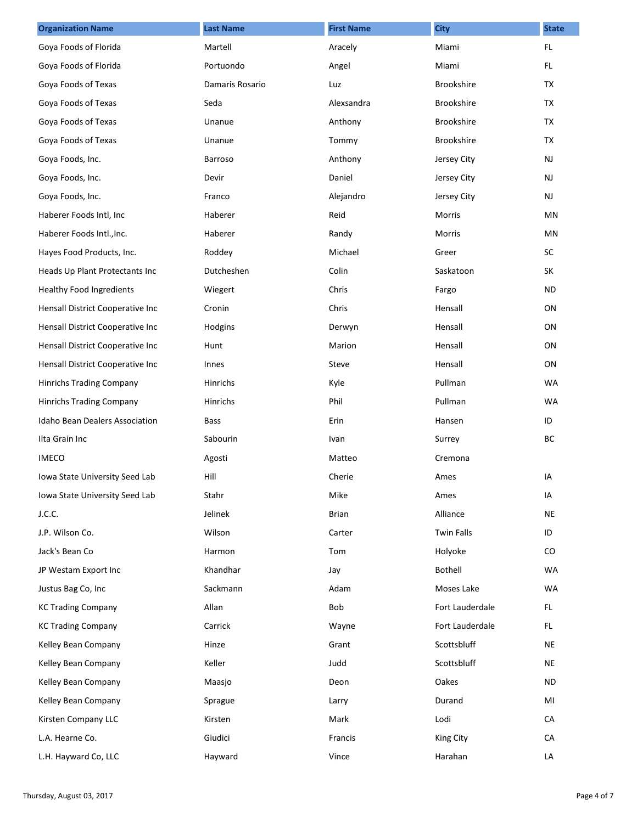| <b>Organization Name</b>         | <b>Last Name</b> | <b>First Name</b> | <b>City</b>       | <b>State</b>  |
|----------------------------------|------------------|-------------------|-------------------|---------------|
| Goya Foods of Florida            | Martell          | Aracely           | Miami             | FL.           |
| Goya Foods of Florida            | Portuondo        | Angel             | Miami             | FL.           |
| Goya Foods of Texas              | Damaris Rosario  | Luz               | Brookshire        | TX            |
| Goya Foods of Texas              | Seda             | Alexsandra        | Brookshire        | TX            |
| Goya Foods of Texas              | Unanue           | Anthony           | Brookshire        | <b>TX</b>     |
| Goya Foods of Texas              | Unanue           | Tommy             | Brookshire        | TX            |
| Goya Foods, Inc.                 | Barroso          | Anthony           | Jersey City       | $\mathsf{NJ}$ |
| Goya Foods, Inc.                 | Devir            | Daniel            | Jersey City       | NJ            |
| Goya Foods, Inc.                 | Franco           | Alejandro         | Jersey City       | NJ            |
| Haberer Foods Intl, Inc.         | Haberer          | Reid              | Morris            | MN            |
| Haberer Foods Intl., Inc.        | Haberer          | Randy             | Morris            | <b>MN</b>     |
| Hayes Food Products, Inc.        | Roddey           | Michael           | Greer             | SC            |
| Heads Up Plant Protectants Inc   | Dutcheshen       | Colin             | Saskatoon         | <b>SK</b>     |
| <b>Healthy Food Ingredients</b>  | Wiegert          | Chris             | Fargo             | <b>ND</b>     |
| Hensall District Cooperative Inc | Cronin           | Chris             | Hensall           | ON            |
| Hensall District Cooperative Inc | Hodgins          | Derwyn            | Hensall           | ON            |
| Hensall District Cooperative Inc | Hunt             | Marion            | Hensall           | ON            |
| Hensall District Cooperative Inc | Innes            | Steve             | Hensall           | ON            |
| <b>Hinrichs Trading Company</b>  | Hinrichs         | Kyle              | Pullman           | <b>WA</b>     |
| Hinrichs Trading Company         | Hinrichs         | Phil              | Pullman           | <b>WA</b>     |
| Idaho Bean Dealers Association   | <b>Bass</b>      | Erin              | Hansen            | ID            |
| Ilta Grain Inc                   | Sabourin         | Ivan              | Surrey            | BC            |
| <b>IMECO</b>                     | Agosti           | Matteo            | Cremona           |               |
| Iowa State University Seed Lab   | Hill             | Cherie            | Ames              | IA            |
| Iowa State University Seed Lab   | Stahr            | Mike              | Ames              | IA            |
| J.C.C.                           | Jelinek          | <b>Brian</b>      | Alliance          | <b>NE</b>     |
| J.P. Wilson Co.                  | Wilson           | Carter            | <b>Twin Falls</b> | ID            |
| Jack's Bean Co                   | Harmon           | Tom               | Holyoke           | CO            |
| JP Westam Export Inc             | Khandhar         | Jay               | <b>Bothell</b>    | <b>WA</b>     |
| Justus Bag Co, Inc               | Sackmann         | Adam              | Moses Lake        | <b>WA</b>     |
| <b>KC Trading Company</b>        | Allan            | Bob               | Fort Lauderdale   | FL.           |
| <b>KC Trading Company</b>        | Carrick          | Wayne             | Fort Lauderdale   | FL.           |
| Kelley Bean Company              | Hinze            | Grant             | Scottsbluff       | NE            |
| Kelley Bean Company              | Keller           | Judd              | Scottsbluff       | NE            |
| Kelley Bean Company              | Maasjo           | Deon              | Oakes             | ND.           |
| Kelley Bean Company              | Sprague          | Larry             | Durand            | MI            |
| Kirsten Company LLC              | Kirsten          | Mark              | Lodi              | CA            |
| L.A. Hearne Co.                  | Giudici          | Francis           | King City         | CA            |
| L.H. Hayward Co, LLC             | Hayward          | Vince             | Harahan           | LA            |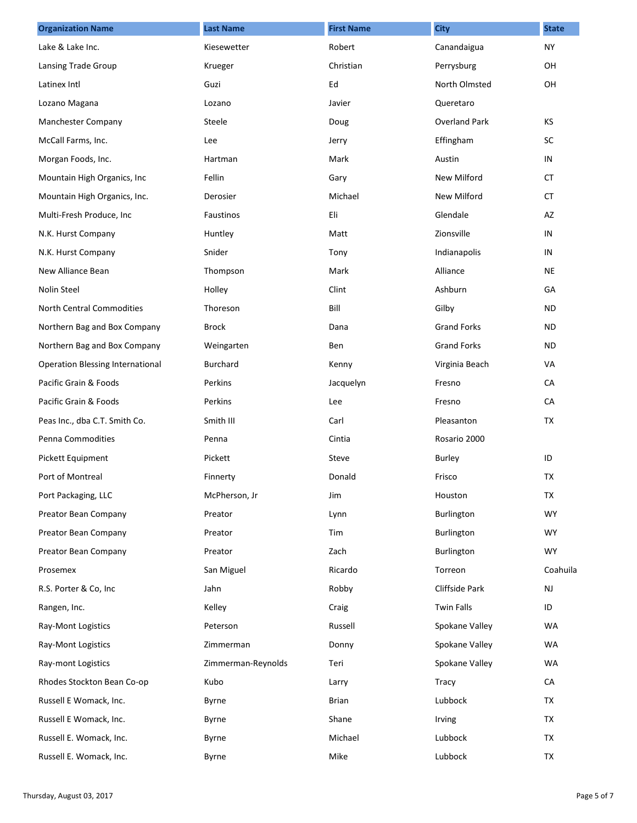| <b>Organization Name</b>                | <b>Last Name</b>   | <b>First Name</b> | <b>City</b>          | <b>State</b> |
|-----------------------------------------|--------------------|-------------------|----------------------|--------------|
| Lake & Lake Inc.                        | Kiesewetter        | Robert            | Canandaigua          | <b>NY</b>    |
| Lansing Trade Group                     | Krueger            | Christian         | Perrysburg           | OH           |
| Latinex Intl                            | Guzi               | Ed                | North Olmsted        | OH           |
| Lozano Magana                           | Lozano             | Javier            | Queretaro            |              |
| Manchester Company                      | Steele             | Doug              | <b>Overland Park</b> | KS           |
| McCall Farms, Inc.                      | Lee                | Jerry             | Effingham            | <b>SC</b>    |
| Morgan Foods, Inc.                      | Hartman            | Mark              | Austin               | IN           |
| Mountain High Organics, Inc             | Fellin             | Gary              | New Milford          | CT.          |
| Mountain High Organics, Inc.            | Derosier           | Michael           | New Milford          | CT.          |
| Multi-Fresh Produce, Inc                | Faustinos          | Eli               | Glendale             | AZ           |
| N.K. Hurst Company                      | Huntley            | Matt              | Zionsville           | IN           |
| N.K. Hurst Company                      | Snider             | Tony              | Indianapolis         | IN           |
| New Alliance Bean                       | Thompson           | Mark              | Alliance             | NE           |
| Nolin Steel                             | Holley             | Clint             | Ashburn              | GA           |
| North Central Commodities               | Thoreson           | Bill              | Gilby                | <b>ND</b>    |
| Northern Bag and Box Company            | <b>Brock</b>       | Dana              | <b>Grand Forks</b>   | ND.          |
| Northern Bag and Box Company            | Weingarten         | Ben               | <b>Grand Forks</b>   | ND.          |
| <b>Operation Blessing International</b> | <b>Burchard</b>    | Kenny             | Virginia Beach       | VA           |
| Pacific Grain & Foods                   | Perkins            | Jacquelyn         | Fresno               | CA           |
| Pacific Grain & Foods                   | Perkins            | Lee               | Fresno               | CA           |
| Peas Inc., dba C.T. Smith Co.           | Smith III          | Carl              | Pleasanton           | TX           |
| Penna Commodities                       | Penna              | Cintia            | Rosario 2000         |              |
| Pickett Equipment                       | Pickett            | Steve             | <b>Burley</b>        | ID           |
| Port of Montreal                        | Finnerty           | Donald            | Frisco               | TX           |
| Port Packaging, LLC                     | McPherson, Jr      | Jim               | Houston              | TX           |
| Preator Bean Company                    | Preator            | Lynn              | Burlington           | <b>WY</b>    |
| Preator Bean Company                    | Preator            | Tim               | Burlington           | WY.          |
| Preator Bean Company                    | Preator            | Zach              | Burlington           | <b>WY</b>    |
| Prosemex                                | San Miguel         | Ricardo           | Torreon              | Coahuila     |
| R.S. Porter & Co, Inc                   | Jahn               | Robby             | Cliffside Park       | <b>NJ</b>    |
| Rangen, Inc.                            | Kelley             | Craig             | <b>Twin Falls</b>    | ID           |
| Ray-Mont Logistics                      | Peterson           | Russell           | Spokane Valley       | WA           |
| Ray-Mont Logistics                      | Zimmerman          | Donny             | Spokane Valley       | WA           |
| Ray-mont Logistics                      | Zimmerman-Reynolds | Teri              | Spokane Valley       | WA           |
| Rhodes Stockton Bean Co-op              | Kubo               | Larry             | <b>Tracy</b>         | CA           |
| Russell E Womack, Inc.                  | Byrne              | <b>Brian</b>      | Lubbock              | TX           |
| Russell E Womack, Inc.                  | Byrne              | Shane             | Irving               | TX           |
| Russell E. Womack, Inc.                 | Byrne              | Michael           | Lubbock              | TX           |
| Russell E. Womack, Inc.                 | Byrne              | Mike              | Lubbock              | TX           |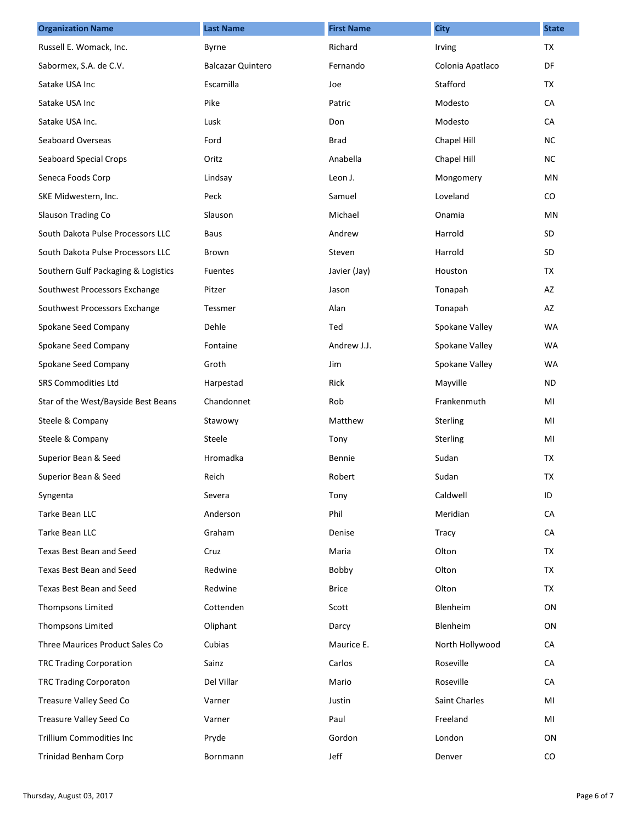| <b>Organization Name</b>            | <b>Last Name</b>         | <b>First Name</b> | <b>City</b>      | <b>State</b> |
|-------------------------------------|--------------------------|-------------------|------------------|--------------|
| Russell E. Womack, Inc.             | Byrne                    | Richard           | Irving           | <b>TX</b>    |
| Sabormex, S.A. de C.V.              | <b>Balcazar Quintero</b> | Fernando          | Colonia Apatlaco | DF           |
| Satake USA Inc                      | Escamilla                | Joe               | Stafford         | <b>TX</b>    |
| Satake USA Inc                      | Pike                     | Patric            | Modesto          | CA           |
| Satake USA Inc.                     | Lusk                     | Don               | Modesto          | CA           |
| <b>Seaboard Overseas</b>            | Ford                     | <b>Brad</b>       | Chapel Hill      | NC.          |
| <b>Seaboard Special Crops</b>       | Oritz                    | Anabella          | Chapel Hill      | <b>NC</b>    |
| Seneca Foods Corp                   | Lindsay                  | Leon J.           | Mongomery        | ΜN           |
| SKE Midwestern, Inc.                | Peck                     | Samuel            | Loveland         | CO           |
| Slauson Trading Co                  | Slauson                  | Michael           | Onamia           | MN           |
| South Dakota Pulse Processors LLC   | <b>Baus</b>              | Andrew            | Harrold          | SD           |
| South Dakota Pulse Processors LLC   | Brown                    | Steven            | Harrold          | <b>SD</b>    |
| Southern Gulf Packaging & Logistics | <b>Fuentes</b>           | Javier (Jay)      | Houston          | <b>TX</b>    |
| Southwest Processors Exchange       | Pitzer                   | Jason             | Tonapah          | AZ           |
| Southwest Processors Exchange       | Tessmer                  | Alan              | Tonapah          | AZ           |
| Spokane Seed Company                | Dehle                    | Ted               | Spokane Valley   | <b>WA</b>    |
| Spokane Seed Company                | Fontaine                 | Andrew J.J.       | Spokane Valley   | <b>WA</b>    |
| Spokane Seed Company                | Groth                    | Jim               | Spokane Valley   | <b>WA</b>    |
| <b>SRS Commodities Ltd</b>          | Harpestad                | Rick              | Mayville         | ND           |
| Star of the West/Bayside Best Beans | Chandonnet               | Rob               | Frankenmuth      | MI           |
| Steele & Company                    | Stawowy                  | Matthew           | Sterling         | MI           |
| Steele & Company                    | Steele                   | Tony              | Sterling         | MI           |
| Superior Bean & Seed                | Hromadka                 | Bennie            | Sudan            | <b>TX</b>    |
| Superior Bean & Seed                | Reich                    | Robert            | Sudan            | TX           |
| Syngenta                            | Severa                   | Tony              | Caldwell         | ID           |
| Tarke Bean LLC                      | Anderson                 | Phil              | Meridian         | CA           |
| Tarke Bean LLC                      | Graham                   | Denise            | Tracy            | CA           |
| Texas Best Bean and Seed            | Cruz                     | Maria             | Olton            | TX           |
| Texas Best Bean and Seed            | Redwine                  | Bobby             | Olton            | TX           |
| Texas Best Bean and Seed            | Redwine                  | <b>Brice</b>      | Olton            | <b>TX</b>    |
| Thompsons Limited                   | Cottenden                | Scott             | Blenheim         | ON           |
| Thompsons Limited                   | Oliphant                 | Darcy             | Blenheim         | ON           |
| Three Maurices Product Sales Co     | Cubias                   | Maurice E.        | North Hollywood  | CA           |
| <b>TRC Trading Corporation</b>      | Sainz                    | Carlos            | Roseville        | CA           |
| <b>TRC Trading Corporaton</b>       | Del Villar               | Mario             | Roseville        | CA           |
| Treasure Valley Seed Co             | Varner                   | Justin            | Saint Charles    | MI           |
| Treasure Valley Seed Co             | Varner                   | Paul              | Freeland         | MI           |
| Trillium Commodities Inc            | Pryde                    | Gordon            | London           | ON           |
| Trinidad Benham Corp                | Bornmann                 | Jeff              | Denver           | CO           |